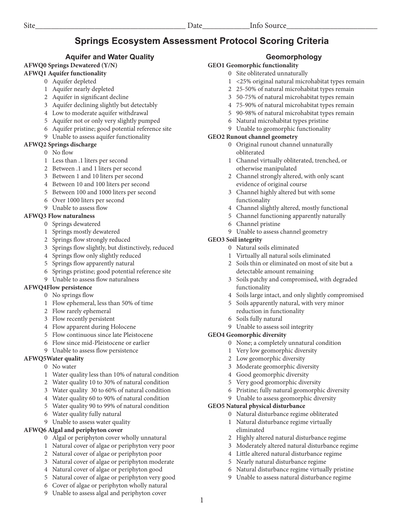# **Springs Ecosystem Assessment Protocol Scoring Criteria**

## **Aquifer and Water Quality**

## **AFWQ0 Springs Dewatered (Y/N)**

## **AFWQ1 Aquifer functionality**

- 0 Aquifer depleted
	- 1 Aquifer nearly depleted
	- 2 Aquifer in significant decline
	- 3 Aquifer declining slightly but detectably
	- 4 Low to moderate aquifer withdrawal
	- 5 Aquifer not or only very slightly pumped
	- 6 Aquifer pristine; good potential reference site
- 9 Unable to assess aquifer functionality

## **AFWQ2 Springs discharge**

- 0 No flow
- 1 Less than .1 liters per second
- 2 Between .1 and 1 liters per second
- 3 Between 1 and 10 liters per second
- 4 Between 10 and 100 liters per second
- 5 Between 100 and 1000 liters per second
- 6 Over 1000 liters per second
- 9 Unable to assess flow

## **AFWQ3 Flow naturalness**

- 0 Springs dewatered
- 1 Springs mostly dewatered
- 2 Springs flow strongly reduced
- 3 Springs flow slightly, but distinctively, reduced
- 4 Springs flow only slightly reduced
- 5 Springs flow apparently natural
- 6 Springs pristine; good potential reference site
- 9 Unable to assess flow naturalness

## **AFWQ4Flow persistence**

- 0 No springs flow
- 1 Flow ephemeral, less than 50% of time
- 2 Flow rarely ephemeral
- 3 Flow recently persistent
- 4 Flow apparent during Holocene
- 5 Flow continuous since late Pleistocene
- 6 Flow since mid-Pleistocene or earlier
- 9 Unable to assess flow persistence

## **AFWQ5Water quality**

- 0 No water
- 1 Water quality less than 10% of natural condition
- 2 Water quality 10 to 30% of natural condition
- 3 Water quality 30 to 60% of natural condition
- 4 Water quality 60 to 90% of natural condition
- 5 Water quality 90 to 99% of natural condition
- 6 Water quality fully natural
- 9 Unable to assess water quality

## **AFWQ6 Algal and periphyton cover**

- 0 Algal or periphyton cover wholly unnatural
- 1 Natural cover of algae or periphyton very poor
- 2 Natural cover of algae or periphyton poor
- 3 Natural cover of algae or periphyton moderate
- 4 Natural cover of algae or periphyton good
- 5 Natural cover of algae or periphyton very good
- 6 Cover of algae or periphyton wholly natural
- 9 Unable to assess algal and periphyton cover

## **Geomorphology**

## **GEO1 Geomorphic functionality**

- 0 Site obliterated unnaturally
	- 1 <25% original natural microhabitat types remain
	- 2 25-50% of natural microhabitat types remain
	- 3 50-75% of natural microhabitat types remain
	- 4 75-90% of natural microhabitat types remain
	- 5 90-98% of natural microhabitat types remain
	- 6 Natural microhabitat types pristine
	- 9 Unable to geomorphic functionality

## **GEO2 Runout channel geometry**

- 0 Original runout channel unnaturally obliterated
- 1 Channel virtually obliterated, trenched, or otherwise manipulated
- 2 Channel strongly altered, with only scant evidence of original course
- 3 Channel highly altered but with some functionality
- 4 Channel slightly altered, mostly functional
- 5 Channel functioning apparently naturally
- 6 Channel pristine
- 9 Unable to assess channel geometry

## **GEO3 Soil integrity**

- 0 Natural soils eliminated
- 1 Virtually all natural soils eliminated
- 2 Soils thin or eliminated on most of site but a detectable amount remaining
- 3 Soils patchy and compromised, with degraded functionality
- 4 Soils large intact, and only slightly compromised
- 5 Soils apparently natural, with very minor reduction in functionality
- 6 Soils fully natural
- 9 Unable to assess soil integrity

## **GEO4 Geomorphic diversity**

- 0 None; a completely unnatural condition
- 1 Very low geomorphic diversity
- 2 Low geomorphic diversity
- 3 Moderate geomorphic diversity
- 4 Good geomorphic diversity
- 5 Very good geomorphic diversity
- 6 Pristine; fully natural geomorphic diversity
- 9 Unable to assess geomorphic diversity

## **GEO5 Natural physical disturbance**

1

- 0 Natural disturbance regime obliterated
- 1 Natural disturbance regime virtually eliminated
- 2 Highly altered natural disturbance regime

3 Moderately altered natural disturbance regime 4 Little altered natural disturbance regime 5 Nearly natural disturbance regime

6 Natural disturbance regime virtually pristine 9 Unable to assess natural disturbance regime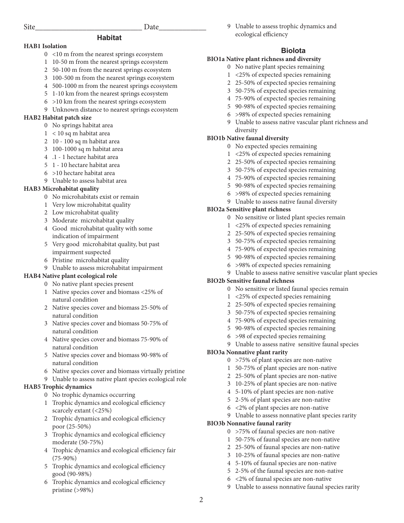9 Unable to assess trophic dynamics and ecological efficiency

## **HAB1 Isolation**

- 0 <10 m from the nearest springs ecosystem
- 1 10-50 m from the nearest springs ecosystem

**Habitat**

- 2 50-100 m from the nearest springs ecosystem
- 3 100-500 m from the nearest springs ecosystem
- 4 500-1000 m from the nearest springs ecosystem
- 5 1-10 km from the nearest springs ecosystem
- 6 >10 km from the nearest springs ecosystem
- 9 Unknown distance to nearest springs ecosystem

## **HAB2 Habitat patch size**

- 0 No springs habitat area
- 1 < 10 sq m habitat area
- 2 10 100 sq m habitat area
- 3 100-1000 sq m habitat area
- 4 .1 1 hectare habitat area
- 5 1 10 hectare habitat area
- 6 >10 hectare habitat area
- 9 Unable to assess habitat area

#### **HAB3 Microhabitat quality**

- 0 No microhabitats exist or remain
- 1 Very low microhabitat quality
- 2 Low microhabitat quality
- 3 Moderate microhabitat quality
- 4 Good microhabitat quality with some indication of impairment
- 5 Very good microhabitat quality, but past impairment suspected
- 6 Pristine microhabitat quality
- 9 Unable to assess microhabitat impairment

## **HAB4 Native plant ecological role**

- 0 No native plant species present
- 1 Native species cover and biomass <25% of natural condition
- 2 Native species cover and biomass 25-50% of natural condition
- 3 Native species cover and biomass 50-75% of natural condition
- 4 Native species cover and biomass 75-90% of natural condition
- 5 Native species cover and biomass 90-98% of natural condition
- 6 Native species cover and biomass virtually pristine
- 9 Unable to assess native plant species ecological role

## **HAB5 Trophic dynamics**

- 0 No trophic dynamics occurring
- 1 Trophic dynamics and ecological efficiency scarcely extant (<25%)
- 2 Trophic dynamics and ecological efficiency poor (25-50%)
- 3 Trophic dynamics and ecological efficiency moderate (50-75%)
- 4 Trophic dynamics and ecological efficiency fair (75-90%)
- 5 Trophic dynamics and ecological efficiency good (90-98%)
- 6 Trophic dynamics and ecological efficiency pristine (>98%)

## **Biolota**

## **BIO1a Native plant richness and diversity**

- 0 No native plant species remaining
- 1 <25% of expected species remaining
- 2 25-50% of expected species remaining
- 3 50-75% of expected species remaining
- 4 75-90% of expected species remaining
- 5 90-98% of expected species remaining
- 6 >98% of expected species remaining
- 9 Unable to assess native vascular plant richness and diversity

#### **BIO1b Native faunal diversity**

- 0 No expected species remaining
- 1 <25% of expected species remaining
- 2 25-50% of expected species remaining
- 3 50-75% of expected species remaining
- 4 75-90% of expected species remaining
- 5 90-98% of expected species remaining
- 6 >98% of expected species remaining
- 9 Unable to assess native faunal diversity

#### **BIO2a Sensitive plant richness**

- 0 No sensitive or listed plant species remain
- 1 <25% of expected species remaining
- 2 25-50% of expected species remaining
- 3 50-75% of expected species remaining
- 4 75-90% of expected species remaining
- 5 90-98% of expected species remaining
- 6 >98% of expected species remaining

## 9 Unable to assess native sensitive vascular plant species

#### **BIO2b Sensitive faunal richness**

- 0 No sensitive or listed faunal species remain
- 1 <25% of expected species remaining
- 2 25-50% of expected species remaining
- 3 50-75% of expected species remaining
- 4 75-90% of expected species remaining
- 5 90-98% of expected species remaining
- 6 >98 of expected species remaining
- 9 Unable to assess native sensitive faunal species

#### **BIO3a Nonnative plant rarity**

- 0 >75% of plant species are non-native
- 1 50-75% of plant species are non-native
- 2 25-50% of plant species are non-native
- 3 10-25% of plant species are non-native
- 4 5-10% of plant species are non-native
- 5 2-5% of plant species are non-native
- 6 <2% of plant species are non-native
- 9 Unable to assess nonnative plant species rarity

#### **BIO3b Nonnative faunal rarity**

2

- 0 >75% of faunal species are non-native
- 1 50-75% of faunal species are non-native
- 2 25-50% of faunal species are non-native
- 3 10-25% of faunal species are non-native

9 Unable to assess nonnative faunal species rarity

4 5-10% of faunal species are non-native 5 2-5% of the faunal species are non-native

6 <2% of faunal species are non-native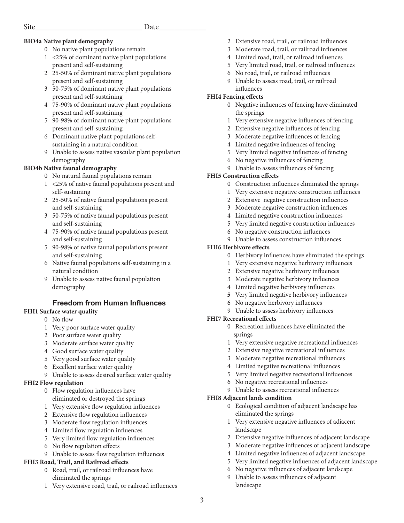## **BIO4a Native plant demography**

- 0 No native plant populations remain
- 1 <25% of dominant native plant populations present and self-sustaining
- 2 25-50% of dominant native plant populations present and self-sustaining
- 3 50-75% of dominant native plant populations present and self-sustaining
- 4 75-90% of dominant native plant populations present and self-sustaining
- 5 90-98% of dominant native plant populations present and self-sustaining
- 6 Dominant native plant populations self sustaining in a natural condition
- 9 Unable to assess native vascular plant population demography

## **BIO4b Native faunal demography**

- 0 No natural faunal populations remain
- 1 <25% of native faunal populations present and self-sustaining
- 2 25-50% of native faunal populations present and self-sustaining
- 3 50-75% of native faunal populations present and self-sustaining
- 4 75-90% of native faunal populations present and self-sustaining
- 5 90-98% of native faunal populations present and self-sustaining
- 6 Native faunal populations self-sustaining in a natural condition
- 9 Unable to assess native faunal population demography

## **Freedom from Human Influences**

## **FHI1 Surface water quality**

- 0 No flow
- 1 Very poor surface water quality
- 2 Poor surface water quality
- 3 Moderate surface water quality
- 4 Good surface water quality
- 5 Very good surface water quality
- 6 Excellent surface water quality
- 9 Unable to assess desired surface water quality

## **FHI2 Flow regulation**

- 0 Flow regulation influences have
- eliminated or destroyed the springs
- 1 Very extensive flow regulation influences
- 2 Extensive flow regulation influences
- 3 Moderate flow regulation influences
- 4 Limited flow regulation influences
- 5 Very limited flow regulation influences
- 6 No flow regulation effects
- 9 Unable to assess flow regulation influences

## **FHI3 Road, Trail, and Railroad effects**

- 0 Road, trail, or railroad influences have eliminated the springs
- 1 Very extensive road, trail, or railroad influences
- 2 Extensive road, trail, or railroad influences
- 3 Moderate road, trail, or railroad influences
- 4 Limited road, trail, or railroad influences
- 5 Very limited road, trail, or railroad influences
- 6 No road, trail, or railroad influences
- 9 Unable to assess road, trail, or railroad influences

## **FHI4 Fencing effects**

- 0 Negative influences of fencing have eliminated the springs
- 1 Very extensive negative influences of fencing
- 2 Extensive negative influences of fencing
- 3 Moderate negative influences of fencing
- 4 Limited negative influences of fencing
- 5 Very limited negative influences of fencing
- 6 No negative influences of fencing
- 9 Unable to assess influences of fencing

## **FHI5 Construction effects**

- 0 Construction influences eliminated the springs
- 1 Very extensive negative construction influences
- 2 Extensive negative construction influences
- 3 Moderate negative construction influences
- 4 Limited negative construction influences
- 5 Very limited negative construction influences
- 6 No negative construction influences
- 9 Unable to assess construction influences

## **FHI6 Herbivore effects**

- 0 Herbivory influences have eliminated the springs
- 1 Very extensive negative herbivory influences
- 2 Extensive negative herbivory influences
- 3 Moderate negative herbivory influences
- 4 Limited negative herbivory influences
- **5** Very limited negative herbivory influences
- 6 No negative herbivory influences
- 9 Unable to assess herbivory influences

## **FHI7 Recreational effects**

- 0 Recreation influences have eliminated the springs
- 1 Very extensive negative recreational influences
- 2 Extensive negative recreational influences
- 3 Moderate negative recreational influences
- 4 Limited negative recreational influences
- 5 Very limited negative recreational influences
- 6 No negative recreational influences
- 9 Unable to assess recreational influences

## **FHI8 Adjacent lands condition**

- 0 Ecological condition of adjacent landscape has eliminated the springs
- 1 Very extensive negative influences of adjacent landscape
- 2 Extensive negative influences of adjacent landscape
- 3 Moderate negative influences of adjacent landscape
- 4 Limited negative influences of adjacent landscape
- 5 Very limited negative influences of adjacent landscape
- 6 No negative influences of adjacent landscape
- 9 Unable to assess influences of adjacent landscape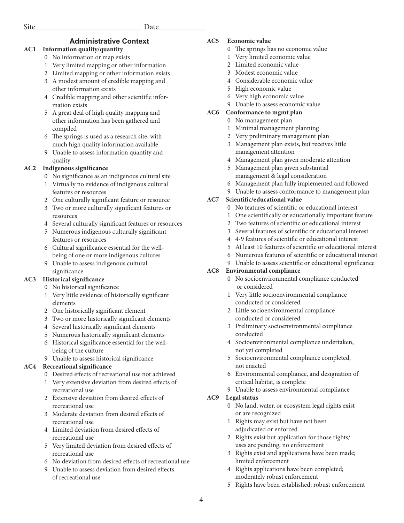## **Administrative Context**

## **AC1 Information quality/quantity**

- 0 No information or map exists
- 1 Very limited mapping or other information
- 2 Limited mapping or other information exists
- 3 A modest amount of credible mapping and other information exists
- 4 Credible mapping and other scientific infor mation exists
- 5 A great deal of high quality mapping and other information has been gathered and compiled
- 6 The springs is used as a research site, with much high quality information available
- 9 Unable to assess information quantity and quality

## **AC2 Indigenous significance**

- 0 No significance as an indigenous cultural site
- 1 Virtually no evidence of indigenous cultural features or resources
- 2 One culturally significant feature or resource
- 3 Two or more culturally significant features or resources
- 4 Several culturally significant features or resources
- 5 Numerous indigenous culturally significant features or resources
- 6 Cultural significance essential for the well being of one or more indigenous cultures
- 9 Unable to assess indigenous cultural significance

## **AC3 Historical significance**

- 0 No historical significance
- 1 Very little evidence of historically significant elements
- 2 One historically significant element
- 3 Two or more historically significant elements
- 4 Several historically significant elements
- 5 Numerous historically significant elements
- 6 Historical significance essential for the well being of the culture
- 9 Unable to assess historical significance

## **AC4 Recreational significance**

- 0 Desired effects of recreational use not achieved
- 1 Very extensive deviation from desired effects of recreational use
- 2 Extensive deviation from desired effects of recreational use
- 3 Moderate deviation from desired effects of recreational use
- 4 Limited deviation from desired effects of recreational use
- 5 Very limited deviation from desired effects of recreational use
- 6 No deviation from desired effects of recreational use
- 9 Unable to assess deviation from desired effects of recreational use

## **AC5 Economic value**

- 0 The springs has no economic value
- 1 Very limited economic value
- 2 Limited economic value
- 3 Modest economic value
- 4 Considerable economic value
- 5 High economic value
- 6 Very high economic value
- 9 Unable to assess economic value

## **AC6 Conformance to mgmt plan**

- 0 No management plan
- 1 Minimal management planning
- 2 Very preliminary management plan
- 3 Management plan exists, but receives little management attention
- 4 Management plan given moderate attention
- 5 Management plan given substantial management & legal consideration
- 6 Management plan fully implemented and followed
- 9 Unable to assess conformance to management plan

## **AC7 Scientific/educational value**

- 0 No features of scientific or educational interest
- 1 One scientifically or educationally important feature
- 2 Two features of scientific or educational interest
- 3 Several features of scientific or educational interest
- 4 4-9 features of scientific or educational interest
- 5 At least 10 features of scientific or educational interest
- 6 Numerous features of scientific or educational interest
- 9 Unable to assess scientific or educational significance

## **AC8 Environmental compliance**

- No socioenvironmental compliance conducted or considered
- 1 Very little socioenvironmental compliance conducted or considered
- 2 Little socioenvironmental compliance conducted or considered
- 3 Preliminary socioenvironmental compliance conducted
- 4 Socioenvironmental compliance undertaken, not yet completed
- 5 Socioenvironmental compliance completed, not enacted
- 6 Environmental compliance, and designation of critical habitat, is complete
- 9 Unable to assess environmental compliance

## **AC9 Legal status**

- 0 No land, water, or ecosystem legal rights exist or are recognized
- 1 Rights may exist but have not been adjudicated or enforced
- 2 Rights exist but application for those rights/ uses are pending; no enforcement
- 3 Rights exist and applications have been made; limited enforcement
- 4 Rights applications have been completed; moderately robust enforcement
- 5 Rights have been established; robust enforcement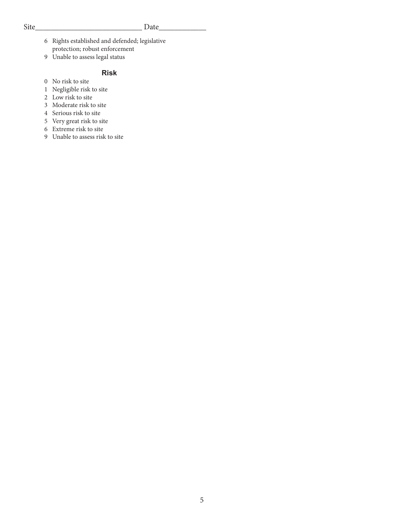## Site\_\_\_\_\_\_\_\_\_\_\_\_\_\_\_\_\_\_\_\_\_\_\_\_\_\_\_ Date\_\_\_\_\_\_\_\_\_\_\_\_

- 6 Rights established and defended; legislative protection; robust enforcement
- 9 Unable to assess legal status

## **Risk**

- 0 No risk to site
- 1 Negligible risk to site
- 2 Low risk to site
- 3 Moderate risk to site
- 4 Serious risk to site
- 5 Very great risk to site
- 6 Extreme risk to site
- 9 Unable to assess risk to site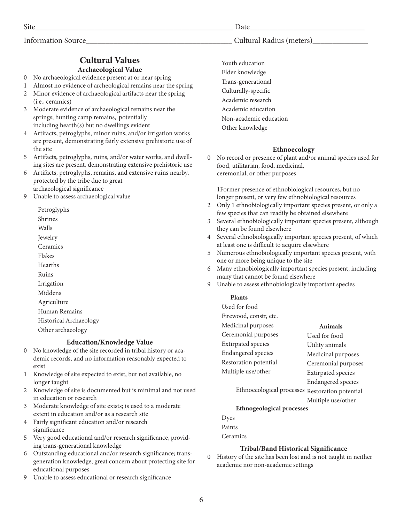## **Cultural Values Archaeological Value**

- 0 No archaeological evidence present at or near spring
- 1 Almost no evidence of archeological remains near the spring
- 2 Minor evidence of archaeological artifacts near the spring (i.e., ceramics)
- 3 Moderate evidence of archaeological remains near the springs; hunting camp remains, potentially including hearth(s) but no dwellings evident
- 4 Artifacts, petroglyphs, minor ruins, and/or irrigation works are present, demonstrating fairly extensive prehistoric use of the site
- 5 Artifacts, petroglyphs, ruins, and/or water works, and dwelling sites are present, demonstrating extensive prehistoric use
- 6 Artifacts, petroglyphs, remains, and extensive ruins nearby, protected by the tribe due to great archaeological significance
- 9 Unable to assess archaeological value

Petroglyphs

Shrines

Walls

Jewelry

Ceramics

Flakes

Hearths

Ruins

Irrigation

Middens

Agriculture

Human Remains

Historical Archaeology

Other archaeology

## **Education/Knowledge Value**

- 0 No knowledge of the site recorded in tribal history or academic records, and no information reasonably expected to exist
- 1 Knowledge of site expected to exist, but not available, no longer taught
- 2 Knowledge of site is documented but is minimal and not used in education or research
- 3 Moderate knowledge of site exists; is used to a moderate extent in education and/or as a research site
- 4 Fairly significant education and/or research significance
- 5 Very good educational and/or research significance, providing trans-generational knowledge
- 6 Outstanding educational and/or research significance; transgeneration knowledge; great concern about protecting site for educational purposes
- 9 Unable to assess educational or research significance

Site\_\_\_\_\_\_\_\_\_\_\_\_\_\_\_\_\_\_\_\_\_\_\_\_\_\_\_\_\_\_\_\_\_\_\_\_\_\_\_\_\_\_\_\_\_\_\_\_\_\_ Date\_\_\_\_\_\_\_\_\_\_\_\_\_\_\_\_\_\_\_\_\_\_\_\_\_\_\_\_\_

## Information Source\_\_\_\_\_\_\_\_\_\_\_\_\_\_\_\_\_\_\_\_\_\_\_\_\_\_\_\_\_\_\_\_\_\_\_\_\_ Cultural Radius (meters)\_\_\_\_\_\_\_\_\_\_\_\_\_\_

Youth education Elder knowledge Trans-generational Culturally-specific Academic research Academic education Non-academic education Other knowledge

## **Ethnoecology**

0 No record or presence of plant and/or animal species used for food, utilitarian, food, medicinal, ceremonial, or other purposes

1Former presence of ethnobiological resources, but no longer present, or very few ethnobiological resources

- 2 Only 1 ethnobiologically important species present, or only a few species that can readily be obtained elsewhere
- 3 Several ethnobiologically important species present, although they can be found elsewhere
- 4 Several ethnobiologically important species present, of which at least one is difficult to acquire elsewhere
- 5 Numerous ethnobiologically important species present, with one or more being unique to the site
- 6 Many ethnobiologically important species present, including many that cannot be found elsewhere
- 9 Unable to assess ethnobiologically important species

## **Plants**

Used for food

| Firewood, constr, etc.    |                           |
|---------------------------|---------------------------|
| Medicinal purposes        | Animals                   |
| Ceremonial purposes       | Used for food             |
| <b>Extirpated</b> species | Utility animals           |
| <b>Endangered</b> species | Medicinal purposes        |
| Restoration potential     | Ceremonial purposes       |
| Multiple use/other        | <b>Extirpated</b> species |
|                           | <b>Endangered</b> species |
| $\cdots$<br>$T^{-1}$ . 1  |                           |

Ethnoecological processes Restoration potential

Multiple use/other

## **Ethnogeological processes**

Dyes Paints

Ceramics

## **Tribal/Band Historical Significance**

0 History of the site has been lost and is not taught in neither academic nor non-academic settings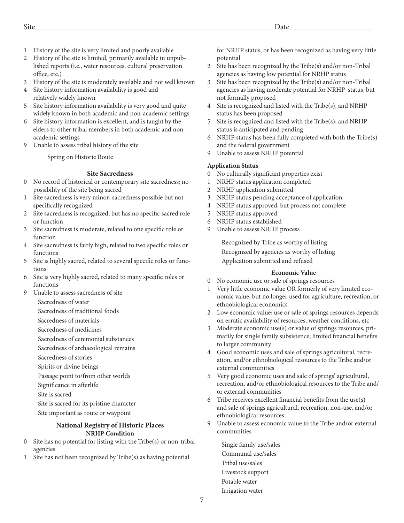- 1 History of the site is very limited and poorly available
- 2 History of the site is limited, primarily available in unpublished reports (i.e., water resources, cultural preservation office, etc.)
- 3 History of the site is moderately available and not well known
- 4 Site history information availability is good and relatively widely known
- 5 Site history information availability is very good and quite widely known in both academic and non-academic settings
- 6 Site history information is excellent, and is taught by the elders to other tribal members in both academic and nonacademic settings
- 9 Unable to assess tribal history of the site

Spring on Historic Route

#### **Site Sacredness**

- 0 No record of historical or contemporary site sacredness; no possibility of the site being sacred
- 1 Site sacredness is very minor; sacredness possible but not specifically recognized
- 2 Site sacredness is recognized, but has no specific sacred role or function
- 3 Site sacredness is moderate, related to one specific role or function
- 4 Site sacredness is fairly high, related to two specific roles or functions
- 5 Site is highly sacred, related to several specific roles or functions
- 6 Site is very highly sacred, related to many specific roles or functions
- 9 Unable to assess sacredness of site
	- Sacredness of water

Sacredness of traditional foods

Sacredness of materials

Sacredness of medicines

Sacredness of ceremonial substances

Sacredness of archaeological remains

- Sacredness of stories
- Spirits or divine beings
- Passage point to/from other worlds
- Significance in afterlife

Site is sacred

- Site is sacred for its pristine character
- Site important as route or waypoint

#### **National Registry of Historic Places NRHP Condition**

- 0 Site has no potential for listing with the Tribe(s) or non-tribal agencies
- 1 Site has not been recognized by Tribe(s) as having potential

for NRHP status, or has been recognized as having very little potential

- 2 Site has been recognized by the Tribe(s) and/or non-Tribal agencies as having low potential for NRHP status
- 3 Site has been recognized by the Tribe(s) and/or non-Tribal agencies as having moderate potential for NRHP status, but not formally proposed
- 4 Site is recognized and listed with the Tribe(s), and NRHP status has been proposed
- 5 Site is recognized and listed with the Tribe(s), and NRHP status is anticipated and pending
- 6 NRHP status has been fully completed with both the Tribe(s) and the federal government
- 9 Unable to assess NRHP potential

#### **Application Status**

- 0 No culturally significant properties exist
- 1 NRHP status application completed
- 2 NRHP application submitted
- 3 NRHP status pending acceptance of application
- 4 NRHP status approved, but process not complete
- 5 NRHP status approved
- 6 NRHP status established
- 9 Unable to assess NRHP process

Recognized by Tribe as worthy of listing Recognized by agencies as worthy of listing Application submitted and refused

#### **Economic Value**

- 0 No economic use or sale of springs resources
- 1 Very little economic value OR formerly of very limited economic value, but no longer used for agriculture, recreation, or ethnobiological economics
- 2 Low economic value; use or sale of springs resources depends on erratic availability of resources, weather conditions, etc
- 3 Moderate economic use(s) or value of springs resources, primarily for single family subsistence; limited financial benefits to larger community
- 4 Good economic uses and sale of springs agricultural, recreation, and/or ethnobiological resources to the Tribe and/or external communities
- 5 Very good economic uses and sale of springs' agricultural, recreation, and/or ethnobiological resources to the Tribe and/ or external communities
- 6 Tribe receives excellent financial benefits from the use(s) and sale of springs agricultural, recreation, non-use, and/or ethnobiological resources
- Unable to assess economic value to the Tribe and/or external communities

Single family use/sales Communal use/sales Tribal use/sales Livestock support Potable water Irrigation water